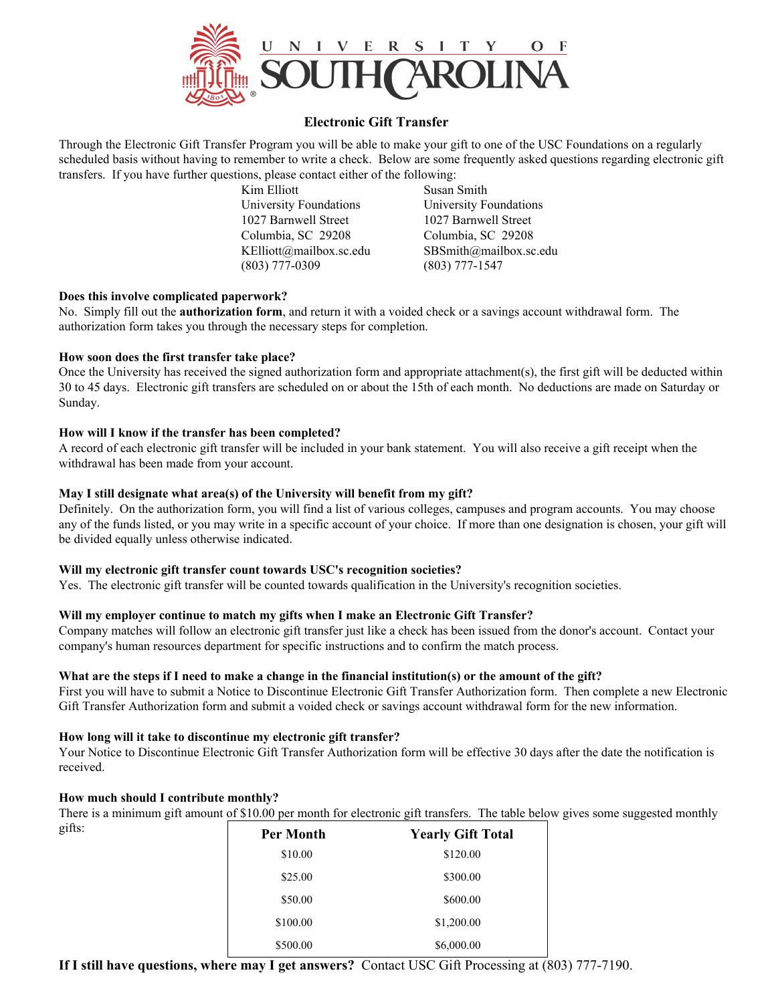

## **Electronic Gift Transfer**

Through the Electronic Gift Transfer Program you will be able to make your gift to one of the USC Foundations on a regularly scheduled basis without having to remember to write a check. Below are some frequently asked questions regarding electronic gift transfers. If you have further questions, please contact either of the following:

> Kim Elliott Susan Smith University Foundations University Foundations 1027 Barnwell Street 1027 Barnwell Street Columbia, SC 29208 Columbia, SC 29208 KElliott@mailbox.sc.edu SBSmith@mailbox.sc.edu (803) 777-0309 (803) 777-1547

## **Does this involve complicated paperwork?**

No. Simply fill out the **authorization form**, and return it with a voided check or a savings account withdrawal form. The authorization form takes you through the necessary steps for completion.

## **How soon does the first transfer take place?**

Once the University has received the signed authorization form and appropriate attachment(s), the first gift will be deducted within 30 to 45 days. Electronic gift transfers are scheduled on or about the 15th of each month. No deductions are made on Saturday or Sunday.

## **How will I know if the transfer has been completed?**

A record of each electronic gift transfer will be included in your bank statement. You will also receive a gift receipt when the withdrawal has been made from your account.

## **May I still designate what area(s) of the University will benefit from my gift?**

Definitely. On the authorization form, you will find a list of various colleges, campuses and program accounts. You may choose any of the funds listed, or you may write in a specific account of your choice. If more than one designation is chosen, your gift will be divided equally unless otherwise indicated.

## **Will my electronic gift transfer count towards USC's recognition societies?**

Yes.The electronic gift transfer will be counted towards qualification in the University's recognition societies.

## **Will my employer continue to match my gifts when I make an Electronic Gift Transfer?**

Company matches will follow an electronic gift transfer just like a check has been issued from the donor's account. Contact your company's human resources department for specific instructions and to confirm the match process.

## **What are the steps if I need to make a change in the financial institution(s) or the amount of the gift?**

First you will have to submit a Notice to Discontinue Electronic Gift Transfer Authorization form. Then complete a new Electronic Gift Transfer Authorization form and submit a voided check or savings account withdrawal form for the new information.

#### **How long will it take to discontinue my electronic gift transfer?**

Your Notice to Discontinue Electronic Gift Transfer Authorization form will be effective 30 days after the date the notification is received.

#### **How much should I contribute monthly?**

There is a minimum gift amount of \$10.00 per month for electronic gift transfers.The table below gives some suggested monthly gifts:

| <b>Per Month</b> | <b>Yearly Gift Total</b> |
|------------------|--------------------------|
| \$10.00          | \$120.00                 |
| \$25.00          | \$300.00                 |
| \$50.00          | \$600.00                 |
| \$100.00         | \$1,200.00               |
| \$500.00         | \$6,000.00               |

**If I still have questions, where may I get answers?** Contact USC Gift Processing at (803) 777-7190.